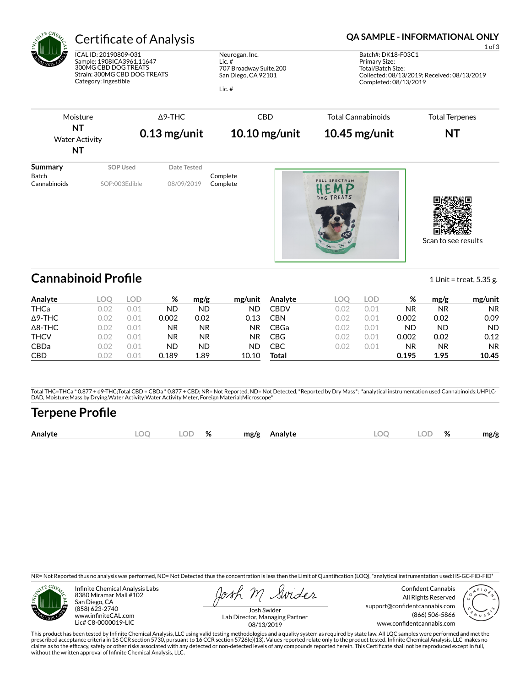

# Certificate of Analysis **Certificate of Analysis QA SAMPLE - INFORMATIONAL ONLY**

ICAL ID: 20190809-031 Sample: 1908ICA3961.11647 300MG CBD DOG TREATS Strain: 300MG CBD DOG TREATS Category: Ingestible

Neurogan, Inc. Lic. # 707 Broadway Suite.200 San Diego, CA 92101

Lic. #

1 of 3 Batch#: DK18-F03C1 Primary Size: Total/Batch Size: Collected: 08/13/2019; Received: 08/13/2019 Completed: 08/13/2019



Scan to see results

# **Cannabinoid Profile** 1 Unit = treat, 5.35 g.

**Analyte LOQ LOD % mg/g mg/unit** THCa 0.02 0.01 ND ND ND Δ9-THC 0.02 0.01 0.002 0.02 0.13 Δ8-THC 0.02 0.01 NR NR NR THCV 0.02 0.01 NR NR NR CBDa 0.02 0.01 ND ND ND CBD 0.02 0.01 0.189 1.89 10.10 **Analyte LOQ LOD % mg/g mg/unit** CBDV 0.02 0.01 NR NR NR CBN 0.02 0.01 0.002 0.02 0.09 CBGa 0.02 0.01 ND ND ND CBG 0.02 0.01 0.002 0.02 0.12 CBC 0.02 0.01 NR NR NR **Total 0.195 1.95 10.45**

Total THC=THCa \* 0.877 + d9-THC;Total CBD = CBDa \* 0.877 + CBD; NR= Not Reported, ND= Not Detected, \*Reported by Dry Mass\*; \*analytical instrumentation used Cannabinoids:UHPLC-DAD, Moisture:Mass by Drying,Water Activity:Water Activity Meter, Foreign Material:Microscope\*

# **Terpene Pro×le**

| $\widehat{\phantom{m}}$<br>%<br>DГ<br>$\Gamma$<br>$\mathbf{a}$<br>Analyte<br>mg/g<br>mg/g<br>Analyte<br>x<br>70<br>๛<br>$\sim$ |
|--------------------------------------------------------------------------------------------------------------------------------|
|--------------------------------------------------------------------------------------------------------------------------------|

NR= Not Reported thus no analysis was performed, ND= Not Detected thus the concentration is less then the Limit of Quantification (LOQ), \*analytical instrumentation used:HS-GC-FID-FID\*



Infinite Chemical Analysis Labs 8380 Miramar Mall #102 San Diego, CA (858) 623-2740 www.infiniteCAL.com Lic# C8-0000019-LIC

Swides

Confident Cannabis All Rights Reserved support@confidentcannabis.com (866) 506-5866 www.confidentcannabis.com



Josh Swider Lab Director, Managing Partner 08/13/2019

This product has been tested by Infinite Chemical Analysis, LLC using valid testing methodologies and a quality system as required by state law. All LQC samples were performed and met the prescribed acceptance criteria in 16 CCR section 5730, pursuant to 16 CCR section 5726(e)(13). Values reported relate only to the product tested. Infinite Chemical Analysis, LLC makes no<br>claims as to the efficacy, safety o without the written approval of Infinite Chemical Analysis, LLC.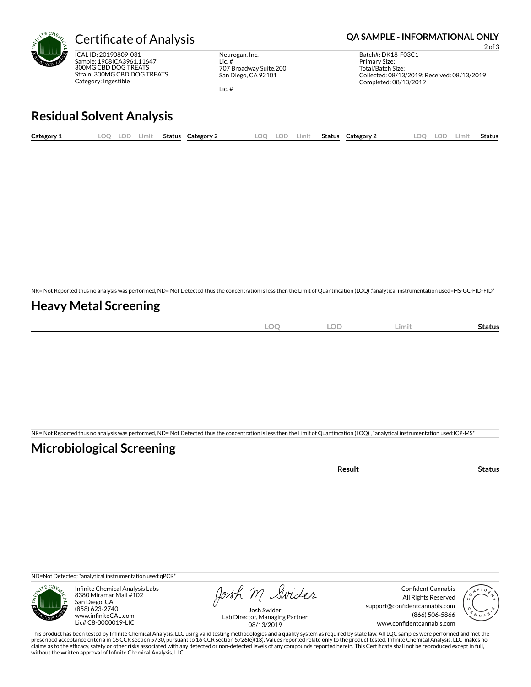

ICAL ID: 20190809-031 Sample: 1908ICA3961.11647 300MG CBD DOG TREATS Strain: 300MG CBD DOG TREATS Category: Ingestible

Neurogan, Inc. Lic. # 707 Broadway Suite.200 San Diego, CA 92101

Lic. #

### Certificate of Analysis **Certificate of Analysis QA SAMPLE - INFORMATIONAL ONLY**

2 of 3 Batch#: DK18-F03C1 Primary Size: Total/Batch Size: Collected: 08/13/2019; Received: 08/13/2019 Completed: 08/13/2019

# **Residual Solvent Analysis**

| Category 1 | LOO | <b>LOD</b> | .imit | <b>Status</b> | Category 2 | LOO | LOD | Limit | <b>Status</b> | Category 2 | LOO | LOD | ∟imit | Status |
|------------|-----|------------|-------|---------------|------------|-----|-----|-------|---------------|------------|-----|-----|-------|--------|
|            |     |            |       |               |            |     |     |       |               |            |     |     |       |        |

NR= Not Reported thus no analysis was performed, ND= Not Detected thus the concentration is less then the Limit of Quantification (LOQ) ,\*analytical instrumentation used=HS-GC-FID-FID\*

### **Heavy Metal Screening**

| $\sim$<br>∽<br>$\sim$ | OF<br>∽ | Limit | status |
|-----------------------|---------|-------|--------|
|                       |         |       |        |

NR= Not Reported thus no analysis was performed, ND= Not Detected thus the concentration is less then the Limit of Quantification (LOQ), \*analytical instrumentation used:ICP-MS\*

### **Microbiological Screening**

| `≏sult |
|--------|
|--------|

ND=Not Detected; \*analytical instrumentation used:qPCR\*



Infinite Chemical Analysis Labs 8380 Miramar Mall #102 San Diego, CA (858) 623-2740 www.infiniteCAL.com Lic# C8-0000019-LIC

Josh M Swider

Confident Cannabis All Rights Reserved support@confidentcannabis.com (866) 506-5866 www.confidentcannabis.com



Josh Swider Lab Director, Managing Partner 08/13/2019

This product has been tested by Infinite Chemical Analysis, LLC using valid testing methodologies and a quality system as required by state law. All LQC samples were performed and met the prescribed acceptance criteria in 16 CCR section 5730, pursuant to 16 CCR section 5726(e)(13). Values reported relate only to the product tested. Infinite Chemical Analysis, LLC makes no<br>claims as to the efficacy, safety o without the written approval of Infinite Chemical Analysis, LLC.